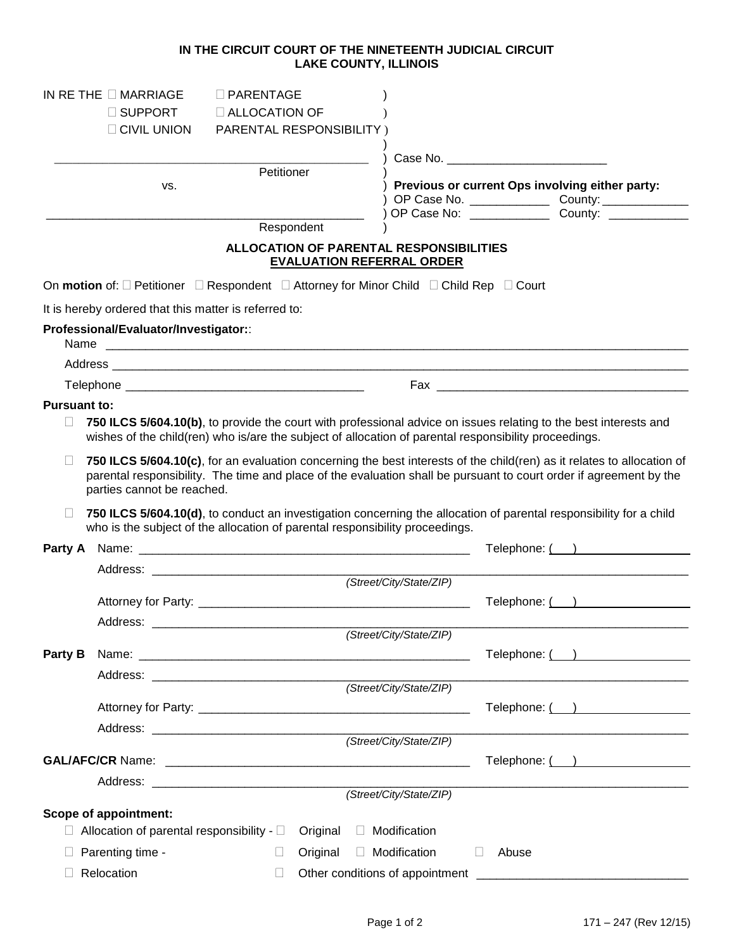## **IN THE CIRCUIT COURT OF THE NINETEENTH JUDICIAL CIRCUIT LAKE COUNTY, ILLINOIS**

|                     | IN RETHE $\Box$ MARRIAGE                                                                                                       | $\Box$ PARENTAGE         |          |                                                                             |                       |                                                                                                                        |  |
|---------------------|--------------------------------------------------------------------------------------------------------------------------------|--------------------------|----------|-----------------------------------------------------------------------------|-----------------------|------------------------------------------------------------------------------------------------------------------------|--|
|                     | $\Box$ SUPPORT                                                                                                                 | <b>E ALLOCATION OF</b>   |          |                                                                             |                       |                                                                                                                        |  |
|                     | <b>CIVIL UNION</b>                                                                                                             | PARENTAL RESPONSIBILITY) |          |                                                                             |                       |                                                                                                                        |  |
|                     |                                                                                                                                |                          |          |                                                                             |                       |                                                                                                                        |  |
|                     |                                                                                                                                | Petitioner               |          |                                                                             |                       |                                                                                                                        |  |
|                     | VS.                                                                                                                            |                          |          | Previous or current Ops involving either party:                             |                       |                                                                                                                        |  |
|                     |                                                                                                                                |                          |          |                                                                             |                       |                                                                                                                        |  |
|                     |                                                                                                                                | Respondent               |          |                                                                             |                       |                                                                                                                        |  |
|                     |                                                                                                                                |                          |          | ALLOCATION OF PARENTAL RESPONSIBILITIES<br><b>EVALUATION REFERRAL ORDER</b> |                       |                                                                                                                        |  |
|                     | On motion of: $\square$ Petitioner $\square$ Respondent $\square$ Attorney for Minor Child $\square$ Child Rep $\square$ Court |                          |          |                                                                             |                       |                                                                                                                        |  |
|                     | It is hereby ordered that this matter is referred to:                                                                          |                          |          |                                                                             |                       |                                                                                                                        |  |
|                     | Professional/Evaluator/Investigator::<br>Name                                                                                  |                          |          |                                                                             |                       |                                                                                                                        |  |
|                     |                                                                                                                                |                          |          |                                                                             |                       |                                                                                                                        |  |
|                     |                                                                                                                                |                          |          |                                                                             |                       |                                                                                                                        |  |
| <b>Pursuant to:</b> |                                                                                                                                |                          |          |                                                                             |                       |                                                                                                                        |  |
|                     | wishes of the child(ren) who is/are the subject of allocation of parental responsibility proceedings.                          |                          |          |                                                                             |                       | 750 ILCS 5/604.10(b), to provide the court with professional advice on issues relating to the best interests and       |  |
|                     |                                                                                                                                |                          |          |                                                                             |                       | 750 ILCS 5/604.10(c), for an evaluation concerning the best interests of the child(ren) as it relates to allocation of |  |
|                     | parties cannot be reached.                                                                                                     |                          |          |                                                                             |                       | parental responsibility. The time and place of the evaluation shall be pursuant to court order if agreement by the     |  |
| $\mathbf{L}$        | who is the subject of the allocation of parental responsibility proceedings.                                                   |                          |          |                                                                             |                       | 750 ILCS 5/604.10(d), to conduct an investigation concerning the allocation of parental responsibility for a child     |  |
|                     |                                                                                                                                |                          |          |                                                                             |                       | Telephone: ( )                                                                                                         |  |
|                     |                                                                                                                                |                          |          |                                                                             |                       |                                                                                                                        |  |
|                     |                                                                                                                                |                          |          | (Street/City/State/ZIP)                                                     |                       |                                                                                                                        |  |
|                     |                                                                                                                                |                          |          |                                                                             |                       | Telephone: ( )                                                                                                         |  |
|                     | Address:                                                                                                                       |                          |          |                                                                             |                       |                                                                                                                        |  |
|                     |                                                                                                                                |                          |          | (Street/City/State/ZIP)                                                     |                       |                                                                                                                        |  |
| Party B             |                                                                                                                                |                          |          |                                                                             |                       | Telephone: ( )                                                                                                         |  |
|                     |                                                                                                                                |                          |          | (Street/City/State/ZIP)                                                     |                       |                                                                                                                        |  |
|                     |                                                                                                                                |                          |          |                                                                             |                       |                                                                                                                        |  |
|                     |                                                                                                                                |                          |          |                                                                             |                       | Telephone: ( )                                                                                                         |  |
|                     |                                                                                                                                |                          |          | (Street/City/State/ZIP)                                                     |                       |                                                                                                                        |  |
|                     |                                                                                                                                |                          |          |                                                                             | Telephone: ( )        |                                                                                                                        |  |
|                     |                                                                                                                                |                          |          |                                                                             |                       |                                                                                                                        |  |
|                     |                                                                                                                                |                          |          | (Street/City/State/ZIP)                                                     |                       |                                                                                                                        |  |
|                     | <b>Scope of appointment:</b>                                                                                                   |                          |          |                                                                             |                       |                                                                                                                        |  |
|                     | Allocation of parental responsibility - $\square$                                                                              |                          | Original | □ Modification                                                              |                       |                                                                                                                        |  |
|                     | Parenting time -                                                                                                               |                          | Original | $\Box$ Modification                                                         | Abuse<br>$\mathbf{1}$ |                                                                                                                        |  |
|                     | Relocation                                                                                                                     | П                        |          | Other conditions of appointment _________                                   |                       |                                                                                                                        |  |